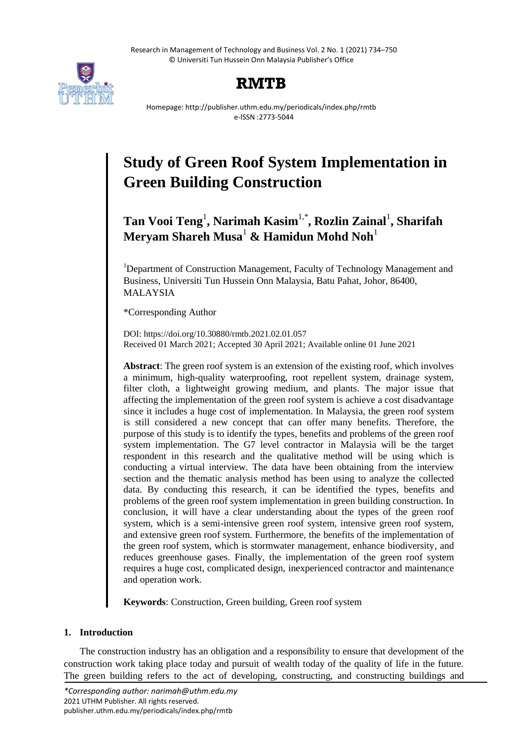Research in Management of Technology and Business Vol. 2 No. 1 (2021) 734–750 © Universiti Tun Hussein Onn Malaysia Publisher's Office



# **RMTB**

Homepage: http://publisher.uthm.edu.my/periodicals/index.php/rmtb e-ISSN :2773-5044

# **Study of Green Roof System Implementation in Green Building Construction**

**Tan Vooi Teng**<sup>1</sup> **, Narimah Kasim**1,\***, Rozlin Zainal**<sup>1</sup> **, Sharifah Meryam Shareh Musa**<sup>1</sup> **& Hamidun Mohd Noh**<sup>1</sup>

<sup>1</sup>Department of Construction Management, Faculty of Technology Management and Business, Universiti Tun Hussein Onn Malaysia, Batu Pahat, Johor, 86400, MALAYSIA

\*Corresponding Author

DOI: https://doi.org/10.30880/rmtb.2021.02.01.057 Received 01 March 2021; Accepted 30 April 2021; Available online 01 June 2021

**Abstract**: The green roof system is an extension of the existing roof, which involves a minimum, high-quality waterproofing, root repellent system, drainage system, filter cloth, a lightweight growing medium, and plants. The major issue that affecting the implementation of the green roof system is achieve a cost disadvantage since it includes a huge cost of implementation. In Malaysia, the green roof system is still considered a new concept that can offer many benefits. Therefore, the purpose of this study is to identify the types, benefits and problems of the green roof system implementation. The G7 level contractor in Malaysia will be the target respondent in this research and the qualitative method will be using which is conducting a virtual interview. The data have been obtaining from the interview section and the thematic analysis method has been using to analyze the collected data. By conducting this research, it can be identified the types, benefits and problems of the green roof system implementation in green building construction. In conclusion, it will have a clear understanding about the types of the green roof system, which is a semi-intensive green roof system, intensive green roof system, and extensive green roof system. Furthermore, the benefits of the implementation of the green roof system, which is stormwater management, enhance biodiversity, and reduces greenhouse gases. Finally, the implementation of the green roof system requires a huge cost, complicated design, inexperienced contractor and maintenance and operation work.

**Keywords**: Construction, Green building, Green roof system

# **1. Introduction**

The construction industry has an obligation and a responsibility to ensure that development of the construction work taking place today and pursuit of wealth today of the quality of life in the future. The green building refers to the act of developing, constructing, and constructing buildings and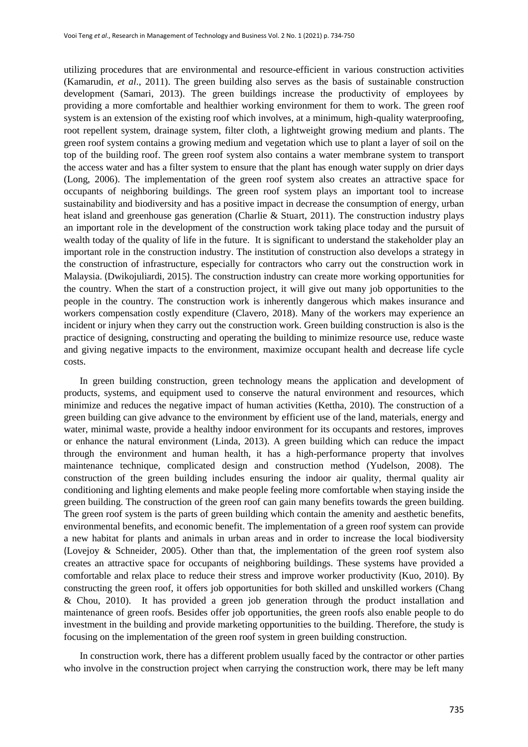utilizing procedures that are environmental and resource-efficient in various construction activities (Kamarudin, *et al*., 2011). The green building also serves as the basis of sustainable construction development (Samari, 2013). The green buildings increase the productivity of employees by providing a more comfortable and healthier working environment for them to work. The green roof system is an extension of the existing roof which involves, at a minimum, high-quality waterproofing, root repellent system, drainage system, filter cloth, a lightweight growing medium and plants. The green roof system contains a growing medium and vegetation which use to plant a layer of soil on the top of the building roof. The green roof system also contains a water membrane system to transport the access water and has a filter system to ensure that the plant has enough water supply on drier days (Long, 2006). The implementation of the green roof system also creates an attractive space for occupants of neighboring buildings. The green roof system plays an important tool to increase sustainability and biodiversity and has a positive impact in decrease the consumption of energy, urban heat island and greenhouse gas generation (Charlie & Stuart, 2011). The construction industry plays an important role in the development of the construction work taking place today and the pursuit of wealth today of the quality of life in the future. It is significant to understand the stakeholder play an important role in the construction industry. The institution of construction also develops a strategy in the construction of infrastructure, especially for contractors who carry out the construction work in Malaysia. (Dwikojuliardi, 2015). The construction industry can create more working opportunities for the country. When the start of a construction project, it will give out many job opportunities to the people in the country. The construction work is inherently dangerous which makes insurance and workers compensation costly expenditure (Clavero, 2018). Many of the workers may experience an incident or injury when they carry out the construction work. Green building construction is also is the practice of designing, constructing and operating the building to minimize resource use, reduce waste and giving negative impacts to the environment, maximize occupant health and decrease life cycle costs.

In green building construction, green technology means the application and development of products, systems, and equipment used to conserve the natural environment and resources, which minimize and reduces the negative impact of human activities (Kettha, 2010). The construction of a green building can give advance to the environment by efficient use of the land, materials, energy and water, minimal waste, provide a healthy indoor environment for its occupants and restores, improves or enhance the natural environment [\(Linda,](https://greengroundswell.com/author/admin/) 2013). A green building which can reduce the impact through the environment and human health, it has a high-performance property that involves maintenance technique, complicated design and construction method (Yudelson, 2008). The construction of the green building includes ensuring the indoor air quality, thermal quality air conditioning and lighting elements and make people feeling more comfortable when staying inside the green building. The construction of the green roof can gain many benefits towards the green building. The green roof system is the parts of green building which contain the amenity and aesthetic benefits, environmental benefits, and economic benefit. The implementation of a green roof system can provide a new habitat for plants and animals in urban areas and in order to increase the local biodiversity (Lovejoy & Schneider, 2005). Other than that, the implementation of the green roof system also creates an attractive space for occupants of neighboring buildings. These systems have provided a comfortable and relax place to reduce their stress and improve worker productivity (Kuo, 2010). By constructing the green roof, it offers job opportunities for both skilled and unskilled workers (Chang & Chou, 2010). It has provided a green job generation through the product installation and maintenance of green roofs. Besides offer job opportunities, the green roofs also enable people to do investment in the building and provide marketing opportunities to the building. Therefore, the study is focusing on the implementation of the green roof system in green building construction.

In construction work, there has a different problem usually faced by the contractor or other parties who involve in the construction project when carrying the construction work, there may be left many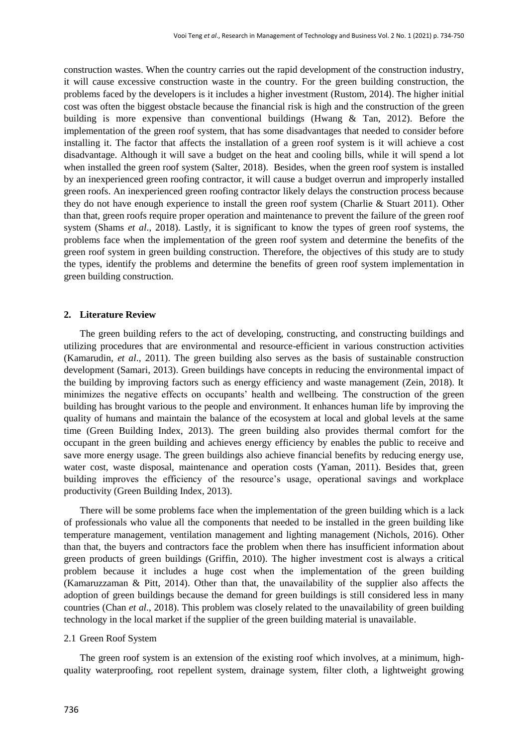construction wastes. When the country carries out the rapid development of the construction industry, it will cause excessive construction waste in the country. For the green building construction, the problems faced by the developers is it includes a higher investment (Rustom, 2014). The higher initial cost was often the biggest obstacle because the financial risk is high and the construction of the green building is more expensive than conventional buildings (Hwang & Tan, 2012). Before the implementation of the green roof system, that has some disadvantages that needed to consider before installing it. The factor that affects the installation of a green roof system is it will achieve a cost disadvantage. Although it will save a budget on the heat and cooling bills, while it will spend a lot when installed the green roof system (Salter, 2018). Besides, when the green roof system is installed by an inexperienced green roofing contractor, it will cause a budget overrun and improperly installed green roofs. An inexperienced green roofing contractor likely delays the construction process because they do not have enough experience to install the green roof system (Charlie & Stuart 2011). Other than that, green roofs require proper operation and maintenance to prevent the failure of the green roof system (Shams *et al*., 2018). Lastly, it is significant to know the types of green roof systems, the problems face when the implementation of the green roof system and determine the benefits of the green roof system in green building construction. Therefore, the objectives of this study are to study the types, identify the problems and determine the benefits of green roof system implementation in green building construction.

# **2. Literature Review**

The green building refers to the act of developing, constructing, and constructing buildings and utilizing procedures that are environmental and resource-efficient in various construction activities (Kamarudin*, et al*., 2011). The green building also serves as the basis of sustainable construction development (Samari, 2013). Green buildings have concepts in reducing the environmental impact of the building by improving factors such as energy efficiency and waste management (Zein, 2018). It minimizes the negative effects on occupants" health and wellbeing. The construction of the green building has brought various to the people and environment. It enhances human life by improving the quality of humans and maintain the balance of the ecosystem at local and global levels at the same time (Green Building Index, 2013). The green building also provides thermal comfort for the occupant in the green building and achieves energy efficiency by enables the public to receive and save more energy usage. The green buildings also achieve financial benefits by reducing energy use, water cost, waste disposal, maintenance and operation costs (Yaman, 2011). Besides that, green building improves the efficiency of the resource's usage, operational savings and workplace productivity (Green Building Index, 2013).

There will be some problems face when the implementation of the green building which is a lack of professionals who value all the components that needed to be installed in the green building like temperature management, ventilation management and lighting management [\(Nichols,](https://usgreentechnology.com/author/megan-nichols/) 2016). Other than that, the buyers and contractors face the problem when there has insufficient information about green products of green buildings (Griffin, 2010). The higher investment cost is always a critical problem because it includes a huge cost when the implementation of the green building (Kamaruzzaman & Pitt, 2014). Other than that, the unavailability of the supplier also affects the adoption of green buildings because the demand for green buildings is still considered less in many countries (Chan *et al*., 2018). This problem was closely related to the unavailability of green building technology in the local market if the supplier of the green building material is unavailable.

## 2.1 Green Roof System

The green roof system is an extension of the existing roof which involves, at a minimum, highquality waterproofing, root repellent system, drainage system, filter cloth, a lightweight growing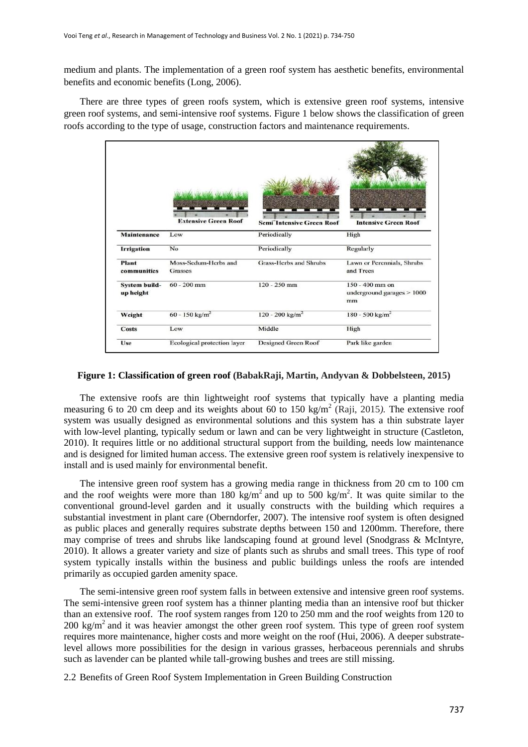medium and plants. The implementation of a green roof system has aesthetic benefits, environmental benefits and economic benefits (Long, 2006).

There are three types of green roofs system, which is extensive green roof systems, intensive green roof systems, and semi-intensive roof systems. Figure 1 below shows the classification of green roofs according to the type of usage, construction factors and maintenance requirements.



# **Figure 1: Classification of green roof (BabakRaji, Martin, Andyvan & Dobbelsteen, 2015)**

The extensive roofs are thin lightweight roof systems that typically have a planting media measuring 6 to 20 cm deep and its weights about 60 to 150 kg/m<sup>2</sup> (Raji, 2015). The extensive roof system was usually designed as environmental solutions and this system has a thin substrate layer with low-level planting, typically sedum or lawn and can be very lightweight in structure (Castleton, 2010). It requires little or no additional structural support from the building, needs low maintenance and is designed for limited human access. The extensive green roof system is relatively inexpensive to install and is used mainly for environmental benefit.

The intensive green roof system has a growing media range in thickness from 20 cm to 100 cm and the roof weights were more than 180 kg/m<sup>2</sup> and up to 500 kg/m<sup>2</sup>. It was quite similar to the conventional ground-level garden and it usually constructs with the building which requires a substantial investment in plant care (Oberndorfer, 2007). The intensive roof system is often designed as public places and generally requires substrate depths between 150 and 1200mm. Therefore, there may comprise of trees and shrubs like landscaping found at ground level (Snodgrass & McIntyre, 2010). It allows a greater variety and size of plants such as shrubs and small trees. This type of roof system typically installs within the business and public buildings unless the roofs are intended primarily as occupied garden amenity space.

The semi-intensive green roof system falls in between extensive and intensive green roof systems. The semi-intensive green roof system has a thinner planting media than an intensive roof but thicker than an extensive roof. The roof system ranges from 120 to 250 mm and the roof weights from 120 to 200 kg/m<sup>2</sup> and it was heavier amongst the other green roof system. This type of green roof system requires more maintenance, higher costs and more weight on the roof (Hui, 2006). A deeper substratelevel allows more possibilities for the design in various grasses, herbaceous perennials and shrubs such as lavender can be planted while tall-growing bushes and trees are still missing.

2.2 Benefits of Green Roof System Implementation in Green Building Construction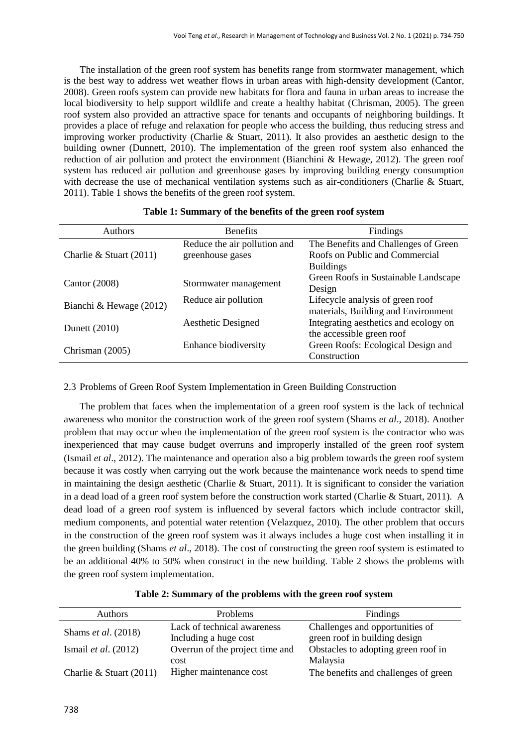The installation of the green roof system has benefits range from stormwater management, which is the best way to address wet weather flows in urban areas with high-density development (Cantor, 2008). Green roofs system can provide new habitats for flora and fauna in urban areas to increase the local biodiversity to help support wildlife and create a healthy habitat (Chrisman, 2005). The green roof system also provided an attractive space for tenants and occupants of neighboring buildings. It provides a place of refuge and relaxation for people who access the building, thus reducing stress and improving worker productivity (Charlie & Stuart, 2011). It also provides an aesthetic design to the building owner (Dunnett, 2010). The implementation of the green roof system also enhanced the reduction of air pollution and protect the environment (Bianchini & Hewage, 2012). The green roof system has reduced air pollution and greenhouse gases by improving building energy consumption with decrease the use of mechanical ventilation systems such as air-conditioners (Charlie & Stuart, 2011). Table 1 shows the benefits of the green roof system.

| <b>Authors</b>            | <b>Benefits</b>              | Findings                              |  |
|---------------------------|------------------------------|---------------------------------------|--|
|                           | Reduce the air pollution and | The Benefits and Challenges of Green  |  |
| Charlie & Stuart $(2011)$ | greenhouse gases             | Roofs on Public and Commercial        |  |
|                           |                              | <b>Buildings</b>                      |  |
| Cantor $(2008)$           |                              | Green Roofs in Sustainable Landscape  |  |
|                           | Stormwater management        | Design                                |  |
|                           | Reduce air pollution         | Lifecycle analysis of green roof      |  |
| Bianchi & Hewage $(2012)$ |                              | materials, Building and Environment   |  |
|                           | Aesthetic Designed           | Integrating aesthetics and ecology on |  |
| Dunett (2010)             |                              | the accessible green roof             |  |
|                           | Enhance biodiversity         | Green Roofs: Ecological Design and    |  |
| Chrisman $(2005)$         |                              | Construction                          |  |

## **Table 1: Summary of the benefits of the green roof system**

2.3 Problems of Green Roof System Implementation in Green Building Construction

The problem that faces when the implementation of a green roof system is the lack of technical awareness who monitor the construction work of the green roof system (Shams *et al*., 2018). Another problem that may occur when the implementation of the green roof system is the contractor who was inexperienced that may cause budget overruns and improperly installed of the green roof system (Ismail *et al*., 2012). The maintenance and operation also a big problem towards the green roof system because it was costly when carrying out the work because the maintenance work needs to spend time in maintaining the design aesthetic (Charlie & Stuart, 2011). It is significant to consider the variation in a dead load of a green roof system before the construction work started (Charlie & Stuart, 2011). A dead load of a green roof system is influenced by several factors which include contractor skill, medium components, and potential water retention [\(Velazquez,](https://www.greenroofs.com/author/linda/) 2010). The other problem that occurs in the construction of the green roof system was it always includes a huge cost when installing it in the green building (Shams *et al*., 2018). The cost of constructing the green roof system is estimated to be an additional 40% to 50% when construct in the new building. Table 2 shows the problems with the green roof system implementation.

| Authors                     | <b>Problems</b>                 | Findings                             |
|-----------------------------|---------------------------------|--------------------------------------|
| Shams et al. (2018)         | Lack of technical awareness     | Challenges and opportunities of      |
|                             | Including a huge cost           | green roof in building design        |
| Ismail <i>et al.</i> (2012) | Overrun of the project time and | Obstacles to adopting green roof in  |
|                             | cost                            | Malaysia                             |
| Charlie & Stuart $(2011)$   | Higher maintenance cost         | The benefits and challenges of green |

# **Table 2: Summary of the problems with the green roof system**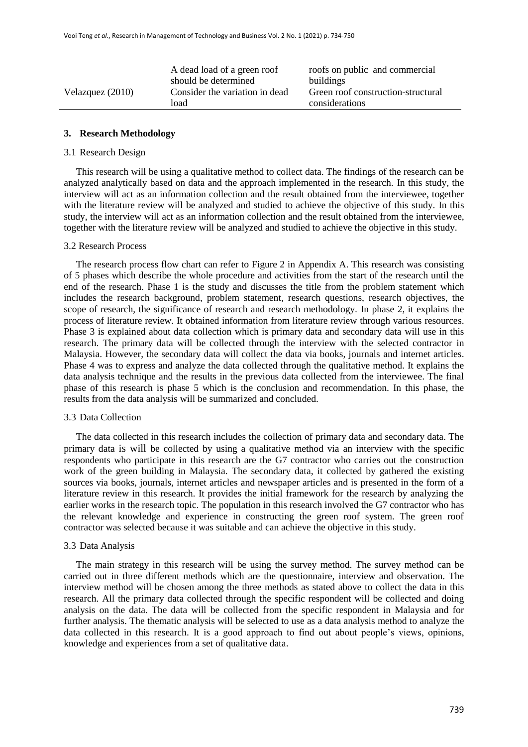|                    | A dead load of a green roof    | roofs on public and commercial     |
|--------------------|--------------------------------|------------------------------------|
|                    | should be determined           | buildings                          |
| Velazquez $(2010)$ | Consider the variation in dead | Green roof construction-structural |
|                    | load                           | considerations                     |
|                    |                                |                                    |

# **3. Research Methodology**

#### 3.1 Research Design

 This research will be using a qualitative method to collect data. The findings of the research can be analyzed analytically based on data and the approach implemented in the research. In this study, the interview will act as an information collection and the result obtained from the interviewee, together with the literature review will be analyzed and studied to achieve the objective of this study. In this study, the interview will act as an information collection and the result obtained from the interviewee, together with the literature review will be analyzed and studied to achieve the objective in this study.

#### 3.2 Research Process

 The research process flow chart can refer to Figure 2 in Appendix A. This research was consisting of 5 phases which describe the whole procedure and activities from the start of the research until the end of the research. Phase 1 is the study and discusses the title from the problem statement which includes the research background, problem statement, research questions, research objectives, the scope of research, the significance of research and research methodology. In phase 2, it explains the process of literature review. It obtained information from literature review through various resources. Phase 3 is explained about data collection which is primary data and secondary data will use in this research. The primary data will be collected through the interview with the selected contractor in Malaysia. However, the secondary data will collect the data via books, journals and internet articles. Phase 4 was to express and analyze the data collected through the qualitative method. It explains the data analysis technique and the results in the previous data collected from the interviewee. The final phase of this research is phase 5 which is the conclusion and recommendation. In this phase, the results from the data analysis will be summarized and concluded.

#### 3.3 Data Collection

 The data collected in this research includes the collection of primary data and secondary data. The primary data is will be collected by using a qualitative method via an interview with the specific respondents who participate in this research are the G7 contractor who carries out the construction work of the green building in Malaysia. The secondary data, it collected by gathered the existing sources via books, journals, internet articles and newspaper articles and is presented in the form of a literature review in this research. It provides the initial framework for the research by analyzing the earlier works in the research topic. The population in this research involved the G7 contractor who has the relevant knowledge and experience in constructing the green roof system. The green roof contractor was selected because it was suitable and can achieve the objective in this study.

#### 3.3 Data Analysis

 The main strategy in this research will be using the survey method. The survey method can be carried out in three different methods which are the questionnaire, interview and observation. The interview method will be chosen among the three methods as stated above to collect the data in this research. All the primary data collected through the specific respondent will be collected and doing analysis on the data. The data will be collected from the specific respondent in Malaysia and for further analysis. The thematic analysis will be selected to use as a data analysis method to analyze the data collected in this research. It is a good approach to find out about people"s views, opinions, knowledge and experiences from a set of qualitative data.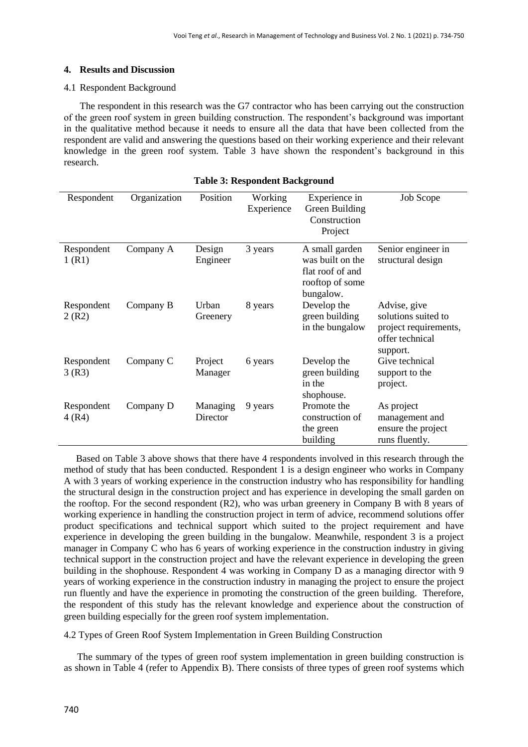# **4. Results and Discussion**

# 4.1 Respondent Background

The respondent in this research was the G7 contractor who has been carrying out the construction of the green roof system in green building construction. The respondent"s background was important in the qualitative method because it needs to ensure all the data that have been collected from the respondent are valid and answering the questions based on their working experience and their relevant knowledge in the green roof system. Table 3 have shown the respondent"s background in this research.

| Respondent          | Organization | Position             | Working<br>Experience | Experience in<br>Green Building<br>Construction<br>Project                             | Job Scope                                                                                   |
|---------------------|--------------|----------------------|-----------------------|----------------------------------------------------------------------------------------|---------------------------------------------------------------------------------------------|
| Respondent<br>1(R1) | Company A    | Design<br>Engineer   | 3 years               | A small garden<br>was built on the<br>flat roof of and<br>rooftop of some<br>bungalow. | Senior engineer in<br>structural design                                                     |
| Respondent<br>2(R2) | Company B    | Urban<br>Greenery    | 8 years               | Develop the<br>green building<br>in the bungalow                                       | Advise, give<br>solutions suited to<br>project requirements,<br>offer technical<br>support. |
| Respondent<br>3(R3) | Company C    | Project<br>Manager   | 6 years               | Develop the<br>green building<br>in the<br>shophouse.                                  | Give technical<br>support to the<br>project.                                                |
| Respondent<br>4(R4) | Company D    | Managing<br>Director | 9 years               | Promote the<br>construction of<br>the green<br>building                                | As project<br>management and<br>ensure the project<br>runs fluently.                        |

## **Table 3: Respondent Background**

 Based on Table 3 above shows that there have 4 respondents involved in this research through the method of study that has been conducted. Respondent 1 is a design engineer who works in Company A with 3 years of working experience in the construction industry who has responsibility for handling the structural design in the construction project and has experience in developing the small garden on the rooftop. For the second respondent (R2), who was urban greenery in Company B with 8 years of working experience in handling the construction project in term of advice, recommend solutions offer product specifications and technical support which suited to the project requirement and have experience in developing the green building in the bungalow. Meanwhile, respondent 3 is a project manager in Company C who has 6 years of working experience in the construction industry in giving technical support in the construction project and have the relevant experience in developing the green building in the shophouse. Respondent 4 was working in Company D as a managing director with 9 years of working experience in the construction industry in managing the project to ensure the project run fluently and have the experience in promoting the construction of the green building. Therefore, the respondent of this study has the relevant knowledge and experience about the construction of green building especially for the green roof system implementation.

# 4.2 Types of Green Roof System Implementation in Green Building Construction

 The summary of the types of green roof system implementation in green building construction is as shown in Table 4 (refer to Appendix B). There consists of three types of green roof systems which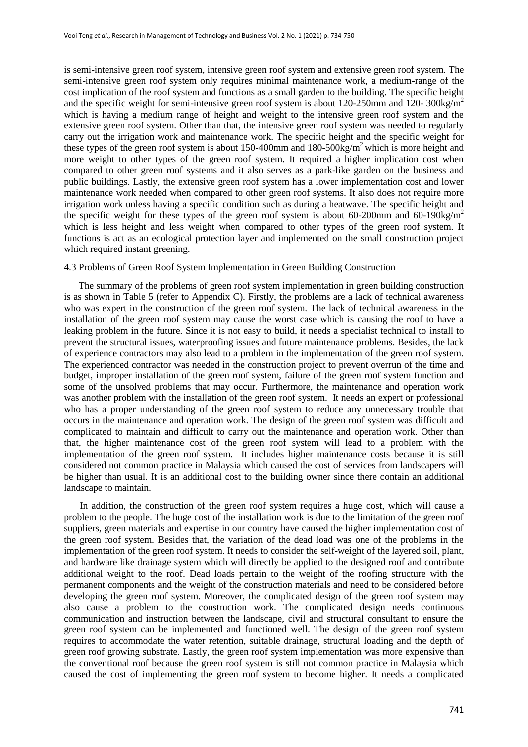is semi-intensive green roof system, intensive green roof system and extensive green roof system. The semi-intensive green roof system only requires minimal maintenance work, a medium-range of the cost implication of the roof system and functions as a small garden to the building. The specific height and the specific weight for semi-intensive green roof system is about 120-250mm and 120-300kg/m<sup>2</sup> which is having a medium range of height and weight to the intensive green roof system and the extensive green roof system. Other than that, the intensive green roof system was needed to regularly carry out the irrigation work and maintenance work. The specific height and the specific weight for these types of the green roof system is about 150-400mm and 180-500kg/ $m^2$  which is more height and more weight to other types of the green roof system. It required a higher implication cost when compared to other green roof systems and it also serves as a park-like garden on the business and public buildings. Lastly, the extensive green roof system has a lower implementation cost and lower maintenance work needed when compared to other green roof systems. It also does not require more irrigation work unless having a specific condition such as during a heatwave. The specific height and the specific weight for these types of the green roof system is about 60-200mm and 60-190kg/m<sup>2</sup> which is less height and less weight when compared to other types of the green roof system. It functions is act as an ecological protection layer and implemented on the small construction project which required instant greening.

# 4.3 Problems of Green Roof System Implementation in Green Building Construction

 The summary of the problems of green roof system implementation in green building construction is as shown in Table 5 (refer to Appendix C). Firstly, the problems are a lack of technical awareness who was expert in the construction of the green roof system. The lack of technical awareness in the installation of the green roof system may cause the worst case which is causing the roof to have a leaking problem in the future. Since it is not easy to build, it needs a specialist technical to install to prevent the structural issues, waterproofing issues and future maintenance problems. Besides, the lack of experience contractors may also lead to a problem in the implementation of the green roof system. The experienced contractor was needed in the construction project to prevent overrun of the time and budget, improper installation of the green roof system, failure of the green roof system function and some of the unsolved problems that may occur. Furthermore, the maintenance and operation work was another problem with the installation of the green roof system. It needs an expert or professional who has a proper understanding of the green roof system to reduce any unnecessary trouble that occurs in the maintenance and operation work. The design of the green roof system was difficult and complicated to maintain and difficult to carry out the maintenance and operation work. Other than that, the higher maintenance cost of the green roof system will lead to a problem with the implementation of the green roof system. It includes higher maintenance costs because it is still considered not common practice in Malaysia which caused the cost of services from landscapers will be higher than usual. It is an additional cost to the building owner since there contain an additional landscape to maintain.

In addition, the construction of the green roof system requires a huge cost, which will cause a problem to the people. The huge cost of the installation work is due to the limitation of the green roof suppliers, green materials and expertise in our country have caused the higher implementation cost of the green roof system. Besides that, the variation of the dead load was one of the problems in the implementation of the green roof system. It needs to consider the self-weight of the layered soil, plant, and hardware like drainage system which will directly be applied to the designed roof and contribute additional weight to the roof. Dead loads pertain to the weight of the roofing structure with the permanent components and the weight of the construction materials and need to be considered before developing the green roof system. Moreover, the complicated design of the green roof system may also cause a problem to the construction work. The complicated design needs continuous communication and instruction between the landscape, civil and structural consultant to ensure the green roof system can be implemented and functioned well. The design of the green roof system requires to accommodate the water retention, suitable drainage, structural loading and the depth of green roof growing substrate. Lastly, the green roof system implementation was more expensive than the conventional roof because the green roof system is still not common practice in Malaysia which caused the cost of implementing the green roof system to become higher. It needs a complicated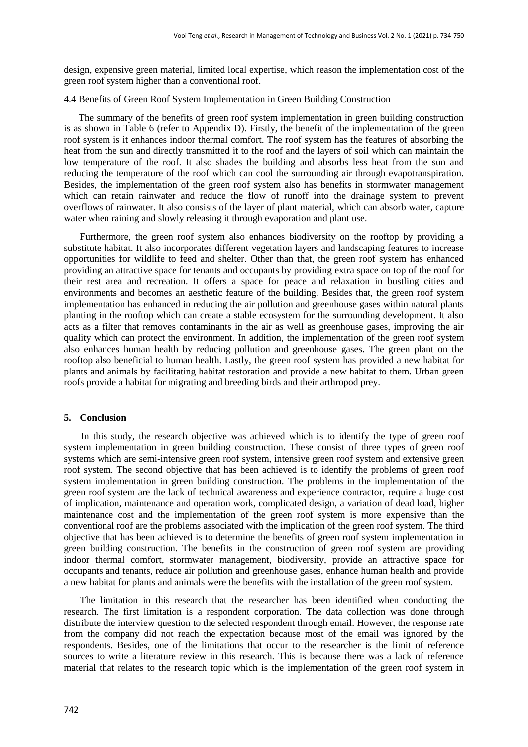design, expensive green material, limited local expertise, which reason the implementation cost of the green roof system higher than a conventional roof.

#### 4.4 Benefits of Green Roof System Implementation in Green Building Construction

 The summary of the benefits of green roof system implementation in green building construction is as shown in Table 6 (refer to Appendix D). Firstly, the benefit of the implementation of the green roof system is it enhances indoor thermal comfort. The roof system has the features of absorbing the heat from the sun and directly transmitted it to the roof and the layers of soil which can maintain the low temperature of the roof. It also shades the building and absorbs less heat from the sun and reducing the temperature of the roof which can cool the surrounding air through evapotranspiration. Besides, the implementation of the green roof system also has benefits in stormwater management which can retain rainwater and reduce the flow of runoff into the drainage system to prevent overflows of rainwater. It also consists of the layer of plant material, which can absorb water, capture water when raining and slowly releasing it through evaporation and plant use.

Furthermore, the green roof system also enhances biodiversity on the rooftop by providing a substitute habitat. It also incorporates different vegetation layers and landscaping features to increase opportunities for wildlife to feed and shelter. Other than that, the green roof system has enhanced providing an attractive space for tenants and occupants by providing extra space on top of the roof for their rest area and recreation. It offers a space for peace and relaxation in bustling cities and environments and becomes an aesthetic feature of the building. Besides that, the green roof system implementation has enhanced in reducing the air pollution and greenhouse gases within natural plants planting in the rooftop which can create a stable ecosystem for the surrounding development. It also acts as a filter that removes contaminants in the air as well as greenhouse gases, improving the air quality which can protect the environment. In addition, the implementation of the green roof system also enhances human health by reducing pollution and greenhouse gases. The green plant on the rooftop also beneficial to human health. Lastly, the green roof system has provided a new habitat for plants and animals by facilitating habitat restoration and provide a new habitat to them. Urban green roofs provide a habitat for migrating and breeding birds and their arthropod prey.

# **5. Conclusion**

 In this study, the research objective was achieved which is to identify the type of green roof system implementation in green building construction. These consist of three types of green roof systems which are semi-intensive green roof system, intensive green roof system and extensive green roof system. The second objective that has been achieved is to identify the problems of green roof system implementation in green building construction. The problems in the implementation of the green roof system are the lack of technical awareness and experience contractor, require a huge cost of implication, maintenance and operation work, complicated design, a variation of dead load, higher maintenance cost and the implementation of the green roof system is more expensive than the conventional roof are the problems associated with the implication of the green roof system. The third objective that has been achieved is to determine the benefits of green roof system implementation in green building construction. The benefits in the construction of green roof system are providing indoor thermal comfort, stormwater management, biodiversity, provide an attractive space for occupants and tenants, reduce air pollution and greenhouse gases, enhance human health and provide a new habitat for plants and animals were the benefits with the installation of the green roof system.

 The limitation in this research that the researcher has been identified when conducting the research. The first limitation is a respondent corporation. The data collection was done through distribute the interview question to the selected respondent through email. However, the response rate from the company did not reach the expectation because most of the email was ignored by the respondents. Besides, one of the limitations that occur to the researcher is the limit of reference sources to write a literature review in this research. This is because there was a lack of reference material that relates to the research topic which is the implementation of the green roof system in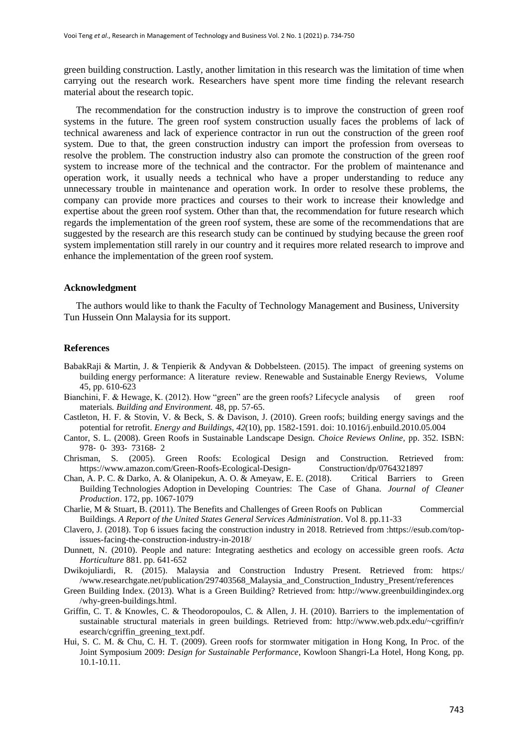green building construction. Lastly, another limitation in this research was the limitation of time when carrying out the research work. Researchers have spent more time finding the relevant research material about the research topic.

 The recommendation for the construction industry is to improve the construction of green roof systems in the future. The green roof system construction usually faces the problems of lack of technical awareness and lack of experience contractor in run out the construction of the green roof system. Due to that, the green construction industry can import the profession from overseas to resolve the problem. The construction industry also can promote the construction of the green roof system to increase more of the technical and the contractor. For the problem of maintenance and operation work, it usually needs a technical who have a proper understanding to reduce any unnecessary trouble in maintenance and operation work. In order to resolve these problems, the company can provide more practices and courses to their work to increase their knowledge and expertise about the green roof system. Other than that, the recommendation for future research which regards the implementation of the green roof system, these are some of the recommendations that are suggested by the research are this research study can be continued by studying because the green roof system implementation still rarely in our country and it requires more related research to improve and enhance the implementation of the green roof system.

#### **Acknowledgment**

 The authors would like to thank the Faculty of Technology Management and Business, University Tun Hussein Onn Malaysia for its support.

#### **References**

- BabakRaji & Martin, J. & Tenpierik & Andyvan & Dobbelsteen. (2015). The impact of greening systems on building energy performance: A literature review. Renewable and Sustainable Energy Reviews, Volume 45, pp. 610-623
- Bianchini, F. & Hewage, K. (2012). How "green" are the green roofs? Lifecycle analysis of green roof materials*. Building and Environment.* 48, pp. 57-65.
- Castleton, H. F. & Stovin, V. & Beck, S. & Davison, J. (2010). Green roofs; building energy savings and the potential for retrofit. *Energy and Buildings, 42*(10), pp. 1582-1591. doi: 10.1016/j.enbuild.2010.05.004
- Cantor, S. L. (2008). Green Roofs in Sustainable Landscape Design. *Choice Reviews Online,* pp. 352. ISBN: 978‐ 0‐ 393‐ 73168‐ 2
- Chrisman, S. (2005). Green Roofs: Ecological Design and Construction. Retrieved from: [https://www.amazon.com/Green-Roofs-Ecological-Design-](https://www.amazon.com/Green-Roofs-Ecological-Design-%09Construction/dp/0764321897) Construction/dp/0764321897
- Chan, A. P. C. & Darko, A. & Olanipekun, A. O. & Ameyaw, E. E. (2018). Critical Barriers to Green Building Technologies Adoption in Developing Countries: The Case of Ghana*. Journal of Cleaner Production*. 172, pp. 1067-1079
- Charlie, M & Stuart, B. (2011). The Benefits and Challenges of Green Roofs on Publican Commercial Buildings. *A Report of the United States General Services Administration*. Vol 8. pp.11-33
- [Clavero,](https://esub.com/author/jennyc/) J. (2018). Top 6 issues facing the construction industry in 2018. Retrieved from [:https://esub.com/top](https://esub.com/top-%09issues-facing-the-%09construction-industry-in-2018/)[issues-facing-the-construction-industry-in-2018/](https://esub.com/top-%09issues-facing-the-%09construction-industry-in-2018/)
- Dunnett, N. (2010). People and nature: Integrating aesthetics and ecology on accessible green roofs. *Acta Horticulture* 881. pp. 641-652
- Dwikojuliardi, R. (2015). Malaysia and Construction Industry Present. Retrieved from: [https:/](https://www.researchgate.net/publication/297403568_Malaysia_and_Construction_Industry_Present/re%09ferences) [/www.researchgate.net/publication/297403568\\_Malaysia\\_and\\_Construction\\_Industry\\_Present/references](https://www.researchgate.net/publication/297403568_Malaysia_and_Construction_Industry_Present/re%09ferences)
- Green Building Index. (2013). What is a Green Building? Retrieved from: [http://www.greenbuildingindex.org](http://www.greenbuildingindex.org/why-green-buildings.html) [/why-green-buildings.html.](http://www.greenbuildingindex.org/why-green-buildings.html)
- Griffin, C. T. & Knowles, C. & Theodoropoulos, C. & Allen, J. H. (2010). Barriers to the implementation of sustainable structural materials in green buildings. Retrieved from: [http://www.web.pdx.edu/~cgriffin/r](http://www.web.pdx.edu/~cgriffin/research/cgriffin_greening_text.pdf) [esearch/cgriffin\\_greening\\_text.pdf.](http://www.web.pdx.edu/~cgriffin/research/cgriffin_greening_text.pdf)
- Hui, S. C. M. & Chu, C. H. T. (2009). Green roofs for stormwater mitigation in Hong Kong, In Proc. of the Joint Symposium 2009: *Design for Sustainable Performance*, Kowloon Shangri-La Hotel, Hong Kong, pp. 10.1-10.11.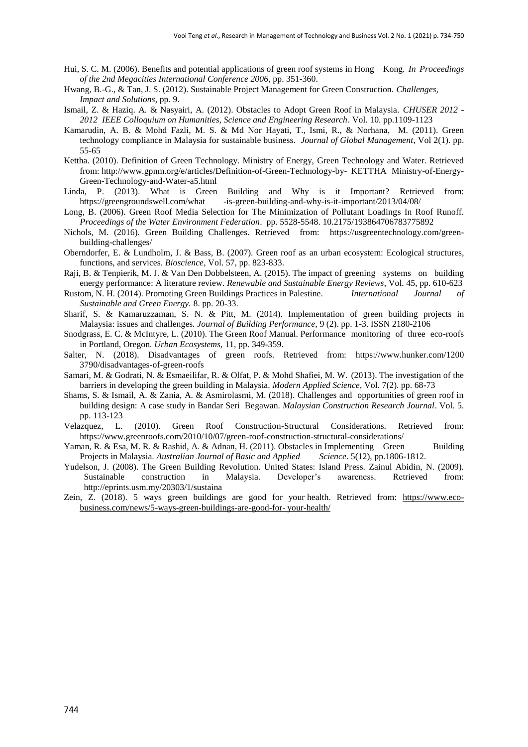- Hui, S. C. M. (2006). Benefits and potential applications of green roof systems in Hong Kong. *In Proceedings of the 2nd Megacities International Conference 2006,* pp. 351-360.
- Hwang, B.-G., & Tan, J. S. (2012). Sustainable Project Management for Green Construction. *Challenges, Impact and Solutions*, pp. 9.
- Ismail, Z. & Haziq. A. & Nasyairi, A. (2012). Obstacles to Adopt Green Roof in Malaysia. *CHUSER 2012 - 2012 IEEE Colloquium on Humanities, Science and Engineering Research*. Vol. 10. pp.1109-1123
- Kamarudin, A. B. & Mohd Fazli, M. S. & Md Nor Hayati, T., Ismi, R., & Norhana, M. (2011). Green technology compliance in Malaysia for sustainable business. *Journal of Global Management*, Vol 2(1). pp. 55-65
- Kettha. (2010). Definition of Green Technology. Ministry of Energy, Green Technology and Water. Retrieved from[: http://www.gpnm.org/e/articles/Definition-of-Green-Technology-by-](http://www.gpnm.org/e/articles/Definition-of-Green-Technology-by-%09KETTHA-%09Ministry-of-Energy-Green-Technology-and-Water-a5.html) KETTHA Ministry-of-Energy-[Green-Technology-and-Water-a5.html](http://www.gpnm.org/e/articles/Definition-of-Green-Technology-by-%09KETTHA-%09Ministry-of-Energy-Green-Technology-and-Water-a5.html)
- Linda, P. (2013). What is Green Building and Why is it Important? Retrieved from: https://greengroundswell.com/what [-is-green-building-and-why-is-it-important/2013/04/08/](https://greengroundswell.com/what%09-is-green-building-and-why-%09is-it-%09important/2013/04/08/)
- Long, B. (2006). Green Roof Media Selection for The Minimization of Pollutant Loadings In Roof Runoff. *Proceedings of the Water Environment Federation*. pp. 5528-5548. 10.2175/193864706783775892
- [Nichols,](https://usgreentechnology.com/author/megan-nichols/) M. (2016). Green Building Challenges. Retrieved from: [https://usgreentechnology.com/green](https://usgreentechnology.com/green-%09building-challenges/)[building-challenges/](https://usgreentechnology.com/green-%09building-challenges/)
- Oberndorfer, E. & Lundholm, J. & Bass, B. (2007). Green roof as an urban ecosystem: Ecological structures, functions, and services. *Bioscience*, Vol. 57, pp. 823-833.
- Raji, B. & Tenpierik, M. J. & Van Den Dobbelsteen, A. (2015). The impact of greening systems on building energy performance: A literature review. *Renewable and Sustainable Energy Reviews*, Vol. 45, pp. 610-623
- Rustom, N. H. (2014). Promoting Green Buildings Practices in Palestine. *International Journal of Sustainable and Green Energy.* 8. pp. 20-33.
- Sharif, S. & Kamaruzzaman, S. N. & Pitt, M. (2014). Implementation of green building projects in Malaysia: issues and challenges*. Journal of Building Performance,* 9 (2). pp. 1-3. ISSN 2180-2106
- Snodgrass, E. C. & McIntyre, L. (2010). The Green Roof Manual. Performance monitoring of three eco-roofs in Portland, Oregon*. Urban Ecosystems,* 11, pp. 349-359.
- Salter, N. (2018). Disadvantages of green roofs. Retrieved from: [https://www.hunker.com/1200](https://www.hunker.com/12003790/disadvantages-of-green-roofs) [3790/disadvantages-of-green-roofs](https://www.hunker.com/12003790/disadvantages-of-green-roofs)
- Samari, M. & Godrati, N. & Esmaeilifar, R. & Olfat, P. & Mohd Shafiei, M. W. (2013). The investigation of the barriers in developing the green building in Malaysia. *Modern Applied Science*, Vol. 7(2). pp. 68-73
- Shams, S. & Ismail, A. & Zania, A. & Asmirolasmi, M. (2018). Challenges and opportunities of green roof in building design: A case study in Bandar Seri Begawan. *Malaysian Construction Research Journal*. Vol. 5. pp. 113-123
- [Velazquez,](https://www.greenroofs.com/author/linda/) L. (2010). Green Roof Construction-Structural Considerations. Retrieved from: <https://www.greenroofs.com/2010/10/07/green-roof-construction-structural-considerations/>
- Yaman, R. & Esa, M. R. & Rashid, A. & Adnan, H. (2011). Obstacles in Implementing Green Building Projects in Malaysia. *Australian Journal of Basic and Applied Science*. 5(12), pp.1806-1812.
- Yudelson, J. (2008). The Green Building Revolution. United States: Island Press. Zainul Abidin, N. (2009). Sustainable construction in Malaysia. Developer"s awareness. Retrieved from: <http://eprints.usm.my/20303/1/sustaina>
- [Zein,](https://www.eco-business.com/about/profile/9864/) Z. (2018). 5 ways green buildings are good for your health. Retrieved from: [https://www.eco](https://www.eco-business.com/news/5-ways-green-buildings-are-good-for-%09your-health/)[business.com/news/5-ways-green-buildings-are-good-for-](https://www.eco-business.com/news/5-ways-green-buildings-are-good-for-%09your-health/) your-health/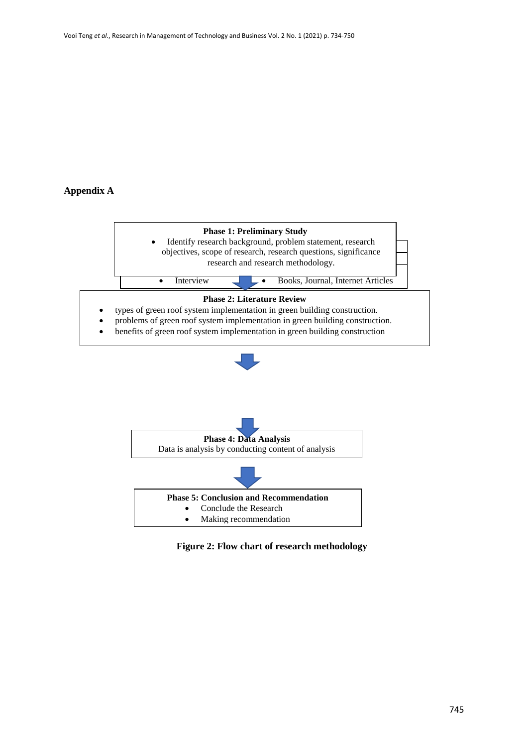# **Appendix A**





**Figure 2: Flow chart of research methodology**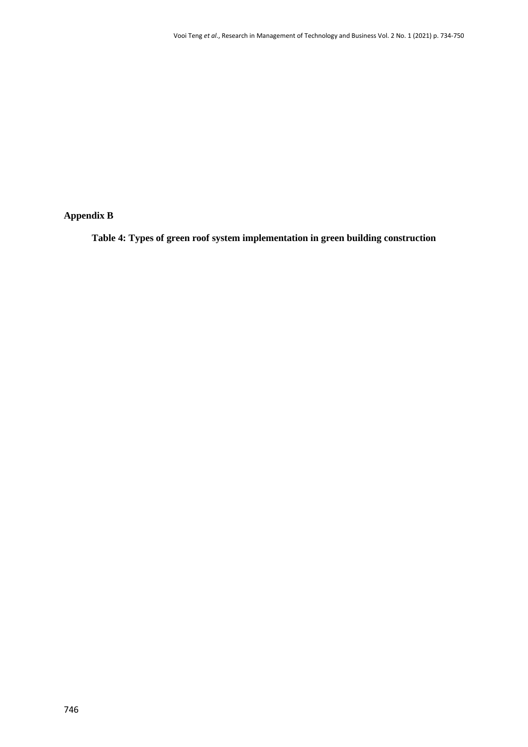# **Appendix B**

**Table 4: Types of green roof system implementation in green building construction**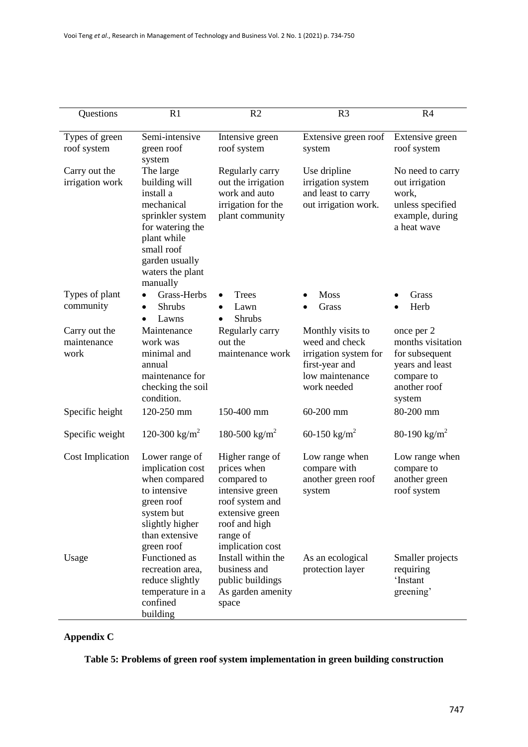| Questions                            | R1                                                                                                                                                                           | R2                                                                                                                                                      | R <sub>3</sub>                                                                                                   | R4                                                                                                           |
|--------------------------------------|------------------------------------------------------------------------------------------------------------------------------------------------------------------------------|---------------------------------------------------------------------------------------------------------------------------------------------------------|------------------------------------------------------------------------------------------------------------------|--------------------------------------------------------------------------------------------------------------|
|                                      |                                                                                                                                                                              |                                                                                                                                                         |                                                                                                                  |                                                                                                              |
| Types of green<br>roof system        | Semi-intensive<br>green roof<br>system                                                                                                                                       | Intensive green<br>roof system                                                                                                                          | Extensive green roof<br>system                                                                                   | Extensive green<br>roof system                                                                               |
| Carry out the<br>irrigation work     | The large<br>building will<br>install a<br>mechanical<br>sprinkler system<br>for watering the<br>plant while<br>small roof<br>garden usually<br>waters the plant<br>manually | Regularly carry<br>out the irrigation<br>work and auto<br>irrigation for the<br>plant community                                                         | Use dripline<br>irrigation system<br>and least to carry<br>out irrigation work.                                  | No need to carry<br>out irrigation<br>work,<br>unless specified<br>example, during<br>a heat wave            |
| Types of plant                       | Grass-Herbs                                                                                                                                                                  | Trees                                                                                                                                                   | <b>Moss</b>                                                                                                      | Grass                                                                                                        |
| community                            | <b>Shrubs</b><br>٠<br>Lawns<br>$\bullet$                                                                                                                                     | Lawn<br><b>Shrubs</b>                                                                                                                                   | Grass                                                                                                            | Herb                                                                                                         |
| Carry out the<br>maintenance<br>work | Maintenance<br>work was<br>minimal and<br>annual<br>maintenance for<br>checking the soil<br>condition.                                                                       | Regularly carry<br>out the<br>maintenance work                                                                                                          | Monthly visits to<br>weed and check<br>irrigation system for<br>first-year and<br>low maintenance<br>work needed | once per 2<br>months visitation<br>for subsequent<br>years and least<br>compare to<br>another roof<br>system |
| Specific height                      | 120-250 mm                                                                                                                                                                   | 150-400 mm                                                                                                                                              | 60-200 mm                                                                                                        | 80-200 mm                                                                                                    |
| Specific weight                      | 120-300 kg/m <sup>2</sup>                                                                                                                                                    | 180-500 kg/m <sup>2</sup>                                                                                                                               | 60-150 kg/m <sup>2</sup>                                                                                         | 80-190 kg/m <sup>2</sup>                                                                                     |
| <b>Cost Implication</b>              | Lower range of<br>implication cost<br>when compared<br>to intensive<br>green roof<br>system but<br>slightly higher<br>than extensive<br>green roof                           | Higher range of<br>prices when<br>compared to<br>intensive green<br>roof system and<br>extensive green<br>roof and high<br>range of<br>implication cost | Low range when<br>compare with<br>another green roof<br>system                                                   | Low range when<br>compare to<br>another green<br>roof system                                                 |
| Usage                                | Functioned as<br>recreation area,<br>reduce slightly<br>temperature in a<br>confined<br>building                                                                             | Install within the<br>business and<br>public buildings<br>As garden amenity<br>space                                                                    | As an ecological<br>protection layer                                                                             | Smaller projects<br>requiring<br>'Instant<br>greening'                                                       |

# **Appendix C**

**Table 5: Problems of green roof system implementation in green building construction**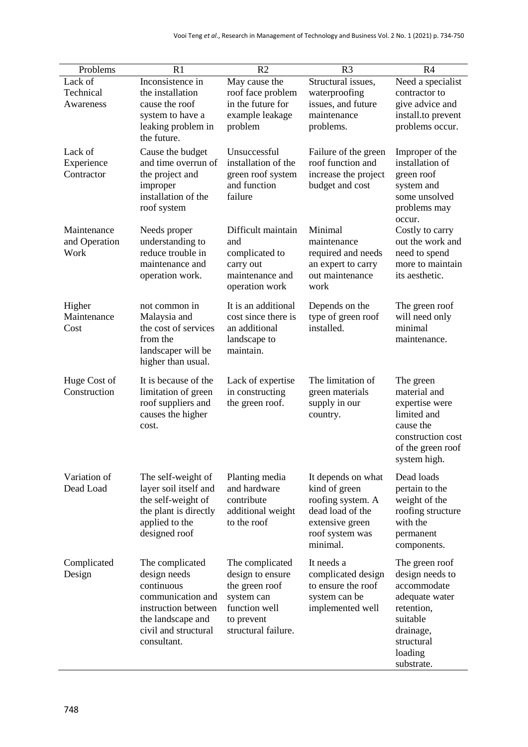| Problems      | R1                                          | R <sub>2</sub>                    | R <sub>3</sub>                        | R <sub>4</sub>                         |
|---------------|---------------------------------------------|-----------------------------------|---------------------------------------|----------------------------------------|
| Lack of       | Inconsistence in                            | May cause the                     | Structural issues,                    | Need a specialist                      |
| Technical     | the installation                            | roof face problem                 | waterproofing                         | contractor to                          |
| Awareness     | cause the roof                              | in the future for                 | issues, and future                    | give advice and                        |
|               | system to have a                            | example leakage                   | maintenance                           | install.to prevent                     |
|               | leaking problem in                          | problem                           | problems.                             | problems occur.                        |
|               | the future.                                 |                                   |                                       |                                        |
| Lack of       | Cause the budget                            | Unsuccessful                      | Failure of the green                  | Improper of the                        |
| Experience    | and time overrun of                         | installation of the               | roof function and                     | installation of                        |
| Contractor    | the project and                             | green roof system<br>and function | increase the project                  | green roof                             |
|               | improper<br>installation of the             | failure                           | budget and cost                       | system and<br>some unsolved            |
|               | roof system                                 |                                   |                                       | problems may                           |
|               |                                             |                                   |                                       | occur.                                 |
| Maintenance   | Needs proper                                | Difficult maintain                | Minimal                               | Costly to carry                        |
| and Operation | understanding to                            | and                               | maintenance                           | out the work and                       |
| Work          | reduce trouble in                           | complicated to                    | required and needs                    | need to spend                          |
|               | maintenance and                             | carry out                         | an expert to carry                    | more to maintain                       |
|               | operation work.                             | maintenance and                   | out maintenance                       | its aesthetic.                         |
|               |                                             | operation work                    | work                                  |                                        |
| Higher        | not common in                               | It is an additional               | Depends on the                        | The green roof                         |
| Maintenance   | Malaysia and                                | cost since there is               | type of green roof                    | will need only                         |
| Cost          | the cost of services                        | an additional                     | installed.                            | minimal                                |
|               | from the                                    | landscape to                      |                                       | maintenance.                           |
|               | landscaper will be                          | maintain.                         |                                       |                                        |
|               | higher than usual.                          |                                   |                                       |                                        |
| Huge Cost of  | It is because of the                        | Lack of expertise                 | The limitation of                     | The green                              |
| Construction  | limitation of green                         | in constructing                   | green materials                       | material and                           |
|               | roof suppliers and                          | the green roof.                   | supply in our                         | expertise were                         |
|               | causes the higher                           |                                   | country.                              | limited and                            |
|               | cost.                                       |                                   |                                       | cause the                              |
|               |                                             |                                   |                                       | construction cost<br>of the green roof |
|               |                                             |                                   |                                       | system high.                           |
|               |                                             |                                   |                                       |                                        |
| Variation of  | The self-weight of                          | Planting media                    | It depends on what                    | Dead loads                             |
| Dead Load     | layer soil itself and                       | and hardware<br>contribute        | kind of green                         | pertain to the                         |
|               | the self-weight of<br>the plant is directly |                                   | roofing system. A<br>dead load of the | weight of the<br>roofing structure     |
|               | applied to the                              | additional weight<br>to the roof  | extensive green                       | with the                               |
|               | designed roof                               |                                   | roof system was                       | permanent                              |
|               |                                             |                                   | minimal.                              | components.                            |
| Complicated   | The complicated                             | The complicated                   | It needs a                            | The green roof                         |
| Design        | design needs                                | design to ensure                  | complicated design                    | design needs to                        |
|               | continuous                                  | the green roof                    | to ensure the roof                    | accommodate                            |
|               | communication and                           | system can                        | system can be                         | adequate water                         |
|               | instruction between                         | function well                     | implemented well                      | retention,                             |
|               | the landscape and                           | to prevent                        |                                       | suitable                               |
|               | civil and structural                        | structural failure.               |                                       | drainage,                              |
|               | consultant.                                 |                                   |                                       | structural                             |
|               |                                             |                                   |                                       | loading                                |
|               |                                             |                                   |                                       | substrate.                             |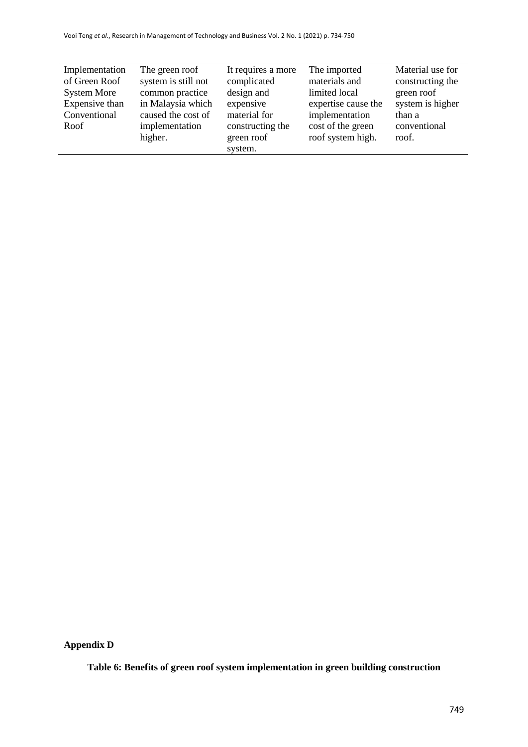| Implementation     | The green roof      | It requires a more | The imported        | Material use for |
|--------------------|---------------------|--------------------|---------------------|------------------|
| of Green Roof      | system is still not | complicated        | materials and       | constructing the |
| <b>System More</b> | common practice     | design and         | limited local       | green roof       |
| Expensive than     | in Malaysia which   | expensive          | expertise cause the | system is higher |
| Conventional       | caused the cost of  | material for       | implementation      | than a           |
| Roof               | implementation      | constructing the   | cost of the green   | conventional     |
|                    | higher.             | green roof         | roof system high.   | roof.            |
|                    |                     | system.            |                     |                  |

**Appendix D** 

**Table 6: Benefits of green roof system implementation in green building construction**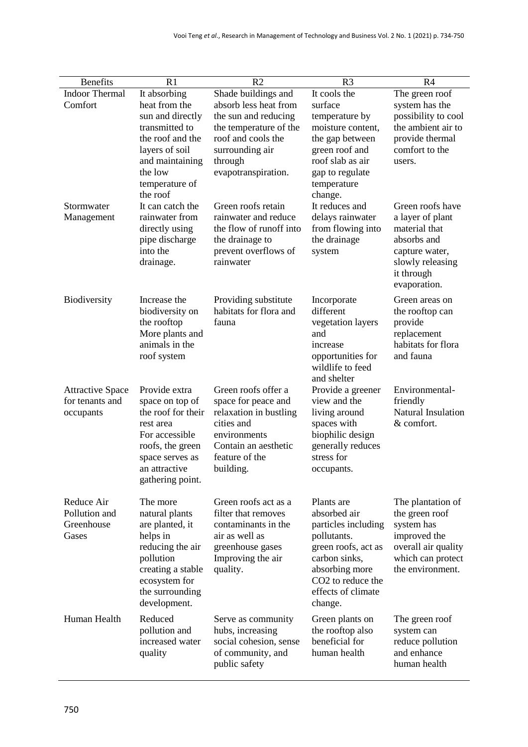| <b>Benefits</b>                                         | R1                                                                                                                                                                                                                                                       | R <sub>2</sub>                                                                                                                                                                                                                                                                      | R <sub>3</sub>                                                                                                                                                                                                                            | R <sub>4</sub>                                                                                                                                                                                                                         |
|---------------------------------------------------------|----------------------------------------------------------------------------------------------------------------------------------------------------------------------------------------------------------------------------------------------------------|-------------------------------------------------------------------------------------------------------------------------------------------------------------------------------------------------------------------------------------------------------------------------------------|-------------------------------------------------------------------------------------------------------------------------------------------------------------------------------------------------------------------------------------------|----------------------------------------------------------------------------------------------------------------------------------------------------------------------------------------------------------------------------------------|
| <b>Indoor Thermal</b>                                   | It absorbing                                                                                                                                                                                                                                             | Shade buildings and                                                                                                                                                                                                                                                                 | It cools the                                                                                                                                                                                                                              | The green roof                                                                                                                                                                                                                         |
| Comfort<br>Stormwater<br>Management                     | heat from the<br>sun and directly<br>transmitted to<br>the roof and the<br>layers of soil<br>and maintaining<br>the low<br>temperature of<br>the roof<br>It can catch the<br>rainwater from<br>directly using<br>pipe discharge<br>into the<br>drainage. | absorb less heat from<br>the sun and reducing<br>the temperature of the<br>roof and cools the<br>surrounding air<br>through<br>evapotranspiration.<br>Green roofs retain<br>rainwater and reduce<br>the flow of runoff into<br>the drainage to<br>prevent overflows of<br>rainwater | surface<br>temperature by<br>moisture content,<br>the gap between<br>green roof and<br>roof slab as air<br>gap to regulate<br>temperature<br>change.<br>It reduces and<br>delays rainwater<br>from flowing into<br>the drainage<br>system | system has the<br>possibility to cool<br>the ambient air to<br>provide thermal<br>comfort to the<br>users.<br>Green roofs have<br>a layer of plant<br>material that<br>absorbs and<br>capture water,<br>slowly releasing<br>it through |
| Biodiversity                                            | Increase the<br>biodiversity on<br>the rooftop<br>More plants and<br>animals in the<br>roof system                                                                                                                                                       | Providing substitute<br>habitats for flora and<br>fauna                                                                                                                                                                                                                             | Incorporate<br>different<br>vegetation layers<br>and<br>increase<br>opportunities for                                                                                                                                                     | evaporation.<br>Green areas on<br>the rooftop can<br>provide<br>replacement<br>habitats for flora<br>and fauna                                                                                                                         |
| <b>Attractive Space</b><br>for tenants and<br>occupants | Provide extra<br>space on top of<br>the roof for their<br>rest area<br>For accessible<br>roofs, the green<br>space serves as<br>an attractive<br>gathering point.                                                                                        | Green roofs offer a<br>space for peace and<br>relaxation in bustling<br>cities and<br>environments<br>Contain an aesthetic<br>feature of the<br>building.                                                                                                                           | wildlife to feed<br>and shelter<br>Provide a greener<br>view and the<br>living around<br>spaces with<br>biophilic design<br>generally reduces<br>stress for<br>occupants.                                                                 | Environmental-<br>friendly<br>Natural Insulation<br>& comfort.                                                                                                                                                                         |
| Reduce Air<br>Pollution and<br>Greenhouse<br>Gases      | The more<br>natural plants<br>are planted, it<br>helps in<br>reducing the air<br>pollution<br>creating a stable<br>ecosystem for<br>the surrounding<br>development.                                                                                      | Green roofs act as a<br>filter that removes<br>contaminants in the<br>air as well as<br>greenhouse gases<br>Improving the air<br>quality.                                                                                                                                           | Plants are<br>absorbed air<br>particles including<br>pollutants.<br>green roofs, act as<br>carbon sinks,<br>absorbing more<br>CO <sub>2</sub> to reduce the<br>effects of climate<br>change.                                              | The plantation of<br>the green roof<br>system has<br>improved the<br>overall air quality<br>which can protect<br>the environment.                                                                                                      |
| Human Health                                            | Reduced<br>pollution and<br>increased water<br>quality                                                                                                                                                                                                   | Serve as community<br>hubs, increasing<br>social cohesion, sense<br>of community, and<br>public safety                                                                                                                                                                              | Green plants on<br>the rooftop also<br>beneficial for<br>human health                                                                                                                                                                     | The green roof<br>system can<br>reduce pollution<br>and enhance<br>human health                                                                                                                                                        |